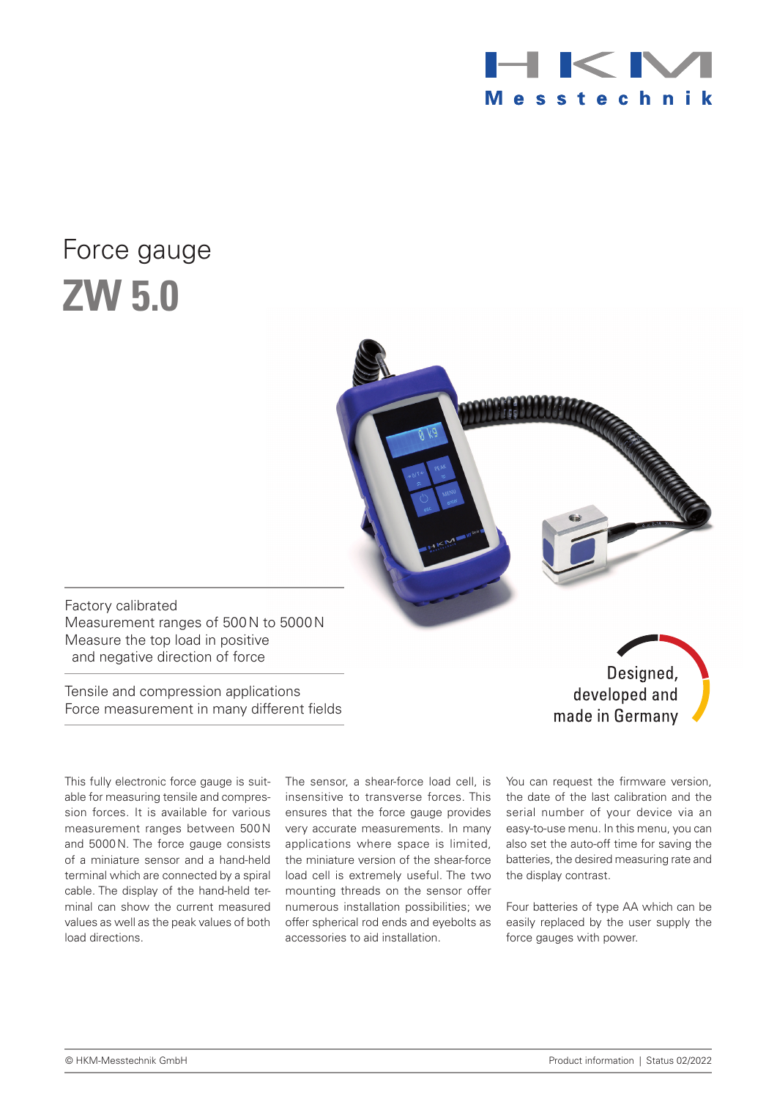

# Force gauge **ZW 5.0**



Factory calibrated Measurement ranges of 500N to 5000N Measure the top load in positive and negative direction of force

Tensile and compression applications Force measurement in many different fields

This fully electronic force gauge is suitable for measuring tensile and compression forces. It is available for various measurement ranges between 500 N and 5000N. The force gauge consists of a miniature sensor and a hand-held terminal which are connected by a spiral cable. The display of the hand-held terminal can show the current measured values as well as the peak values of both load directions.

The sensor, a shear-force load cell, is insensitive to transverse forces. This ensures that the force gauge provides very accurate measurements. In many applications where space is limited, the miniature version of the shear-force load cell is extremely useful. The two mounting threads on the sensor offer numerous installation possibilities; we offer spherical rod ends and eyebolts as accessories to aid installation.

You can request the firmware version, the date of the last calibration and the serial number of your device via an easy-to-use menu. In this menu, you can also set the auto-off time for saving the batteries, the desired measuring rate and the display contrast.

made in Germany

Four batteries of type AA which can be easily replaced by the user supply the force gauges with power.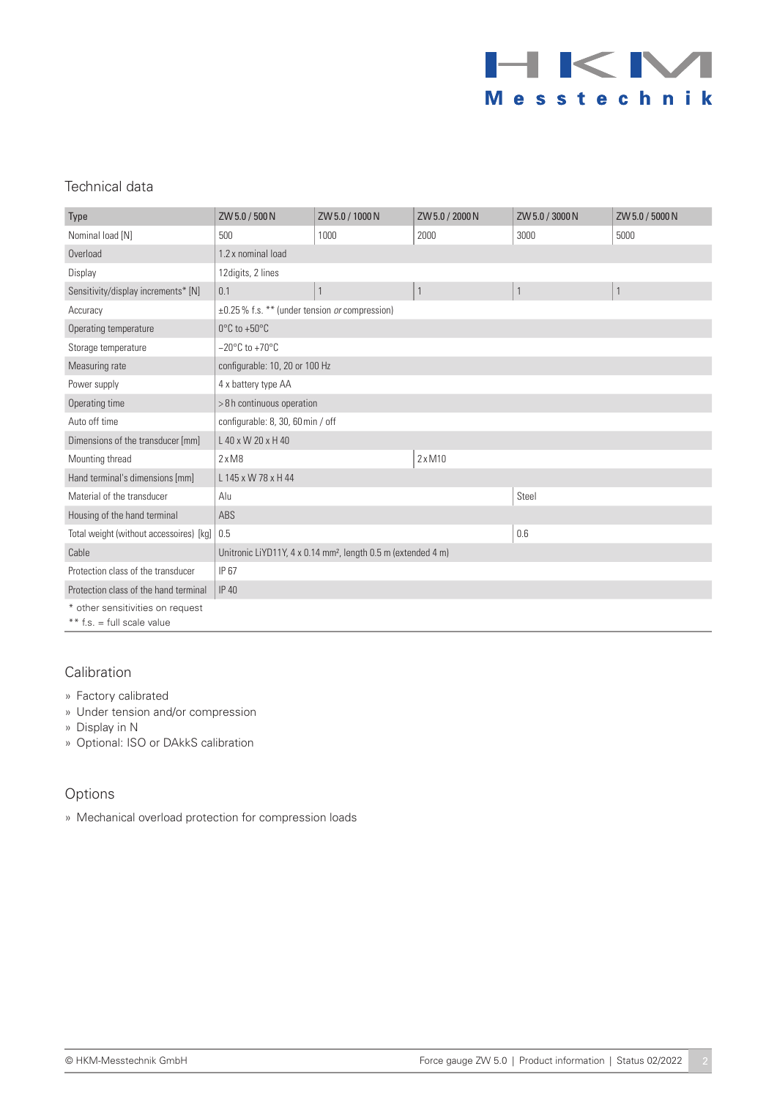

## Technical data

| Type                                    | ZW 5.0 / 500 N                                                            | ZW 5.0 / 1000 N | ZW 5.0 / 2000 N | ZW 5.0 / 3000 N | ZW 5.0 / 5000 N |
|-----------------------------------------|---------------------------------------------------------------------------|-----------------|-----------------|-----------------|-----------------|
| Nominal load [N]                        | 500                                                                       | 1000            | 2000            | 3000            | 5000            |
| Overload                                | 1.2 x nominal load                                                        |                 |                 |                 |                 |
| Display                                 | 12 digits, 2 lines                                                        |                 |                 |                 |                 |
| Sensitivity/display increments* [N]     | 0.1                                                                       |                 |                 | 1               | $\mathbf{1}$    |
| Accuracy                                | ±0.25% f.s. ** (under tension or compression)                             |                 |                 |                 |                 |
| Operating temperature                   | $0^{\circ}$ C to +50 $^{\circ}$ C                                         |                 |                 |                 |                 |
| Storage temperature                     | $-20^{\circ}$ C to +70 $^{\circ}$ C                                       |                 |                 |                 |                 |
| Measuring rate                          | configurable: 10, 20 or 100 Hz                                            |                 |                 |                 |                 |
| Power supply                            | 4 x battery type AA                                                       |                 |                 |                 |                 |
| Operating time                          | >8h continuous operation                                                  |                 |                 |                 |                 |
| Auto off time                           | configurable: 8, 30, 60 min / off                                         |                 |                 |                 |                 |
| Dimensions of the transducer [mm]       | L 40 x W 20 x H 40                                                        |                 |                 |                 |                 |
| Mounting thread                         | $2 \times M8$                                                             |                 | $2 \times M10$  |                 |                 |
| Hand terminal's dimensions [mm]         | L 145 x W 78 x H 44                                                       |                 |                 |                 |                 |
| Material of the transducer              | Alu                                                                       |                 |                 | Steel           |                 |
| Housing of the hand terminal            | ABS                                                                       |                 |                 |                 |                 |
| Total weight (without accessoires) [kg] | 0.5                                                                       |                 |                 | 0.6             |                 |
| Cable                                   | Unitronic LiYD11Y, 4 x 0.14 mm <sup>2</sup> , length 0.5 m (extended 4 m) |                 |                 |                 |                 |
| Protection class of the transducer      | IP 67                                                                     |                 |                 |                 |                 |
| Protection class of the hand terminal   | <b>IP 40</b>                                                              |                 |                 |                 |                 |
| * other sensitivities on request        |                                                                           |                 |                 |                 |                 |
| ** $f.s. = full scale value$            |                                                                           |                 |                 |                 |                 |

#### Calibration

- » Factory calibrated
- » Under tension and/or compression
- » Display in N
- » Optional: ISO or DAkkS calibration

### Options

» Mechanical overload protection for compression loads